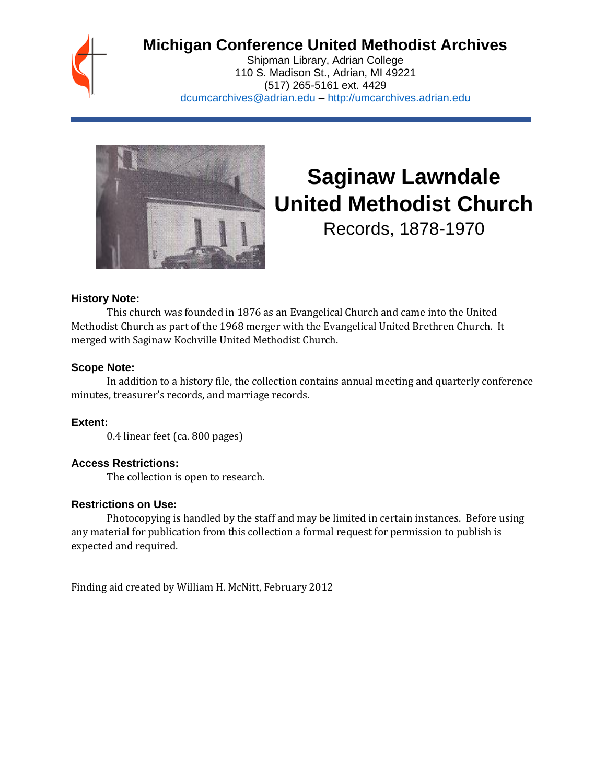## **Michigan Conference United Methodist Archives**

Shipman Library, Adrian College 110 S. Madison St., Adrian, MI 49221 (517) 265-5161 ext. 4429 [dcumcarchives@adrian.edu](mailto:dcumcarchives@adrian.edu) – [http://umcarchives.adrian.edu](http://umcarchives.adrian.edu/)



# **Saginaw Lawndale United Methodist Church**

Records, 1878-1970

#### **History Note:**

This church was founded in 1876 as an Evangelical Church and came into the United Methodist Church as part of the 1968 merger with the Evangelical United Brethren Church. It merged with Saginaw Kochville United Methodist Church.

### **Scope Note:**

In addition to a history file, the collection contains annual meeting and quarterly conference minutes, treasurer's records, and marriage records.

**Extent:**

0.4 linear feet (ca. 800 pages)

### **Access Restrictions:**

The collection is open to research.

### **Restrictions on Use:**

Photocopying is handled by the staff and may be limited in certain instances. Before using any material for publication from this collection a formal request for permission to publish is expected and required.

Finding aid created by William H. McNitt, February 2012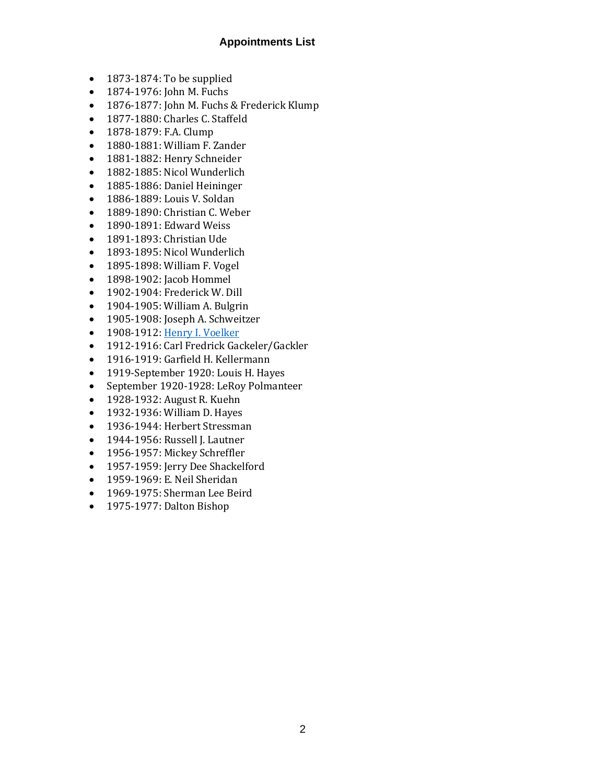#### **Appointments List**

- 1873-1874: To be supplied
- 1874-1976: John M. Fuchs
- 1876-1877: John M. Fuchs & Frederick Klump
- 1877-1880: Charles C. Staffeld
- 1878-1879: F.A. Clump
- 1880-1881: William F. Zander
- 1881-1882: Henry Schneider
- 1882-1885: Nicol Wunderlich
- 1885-1886: Daniel Heininger
- 1886-1889: Louis V. Soldan
- 1889-1890: Christian C. Weber
- 1890-1891: Edward Weiss
- 1891-1893: Christian Ude
- 1893-1895: Nicol Wunderlich
- 1895-1898: William F. Vogel
- 1898-1902: Jacob Hommel
- 1902-1904: Frederick W. Dill
- 1904-1905: William A. Bulgrin
- 1905-1908: Joseph A. Schweitzer
- 1908-1912[: Henry I. Voelker](http://umcarchives.adrian.edu/clergy/voelkerhi.php)
- 1912-1916: Carl Fredrick Gackeler/Gackler
- 1916-1919: Garfield H. Kellermann
- 1919-September 1920: Louis H. Hayes
- September 1920-1928: LeRoy Polmanteer
- 1928-1932: August R. Kuehn
- 1932-1936: William D. Hayes
- 1936-1944: Herbert Stressman
- 1944-1956: Russell J. Lautner
- 1956-1957: Mickey Schreffler
- 1957-1959: Jerry Dee Shackelford
- 1959-1969: E. Neil Sheridan
- 1969-1975: Sherman Lee Beird
- 1975-1977: Dalton Bishop